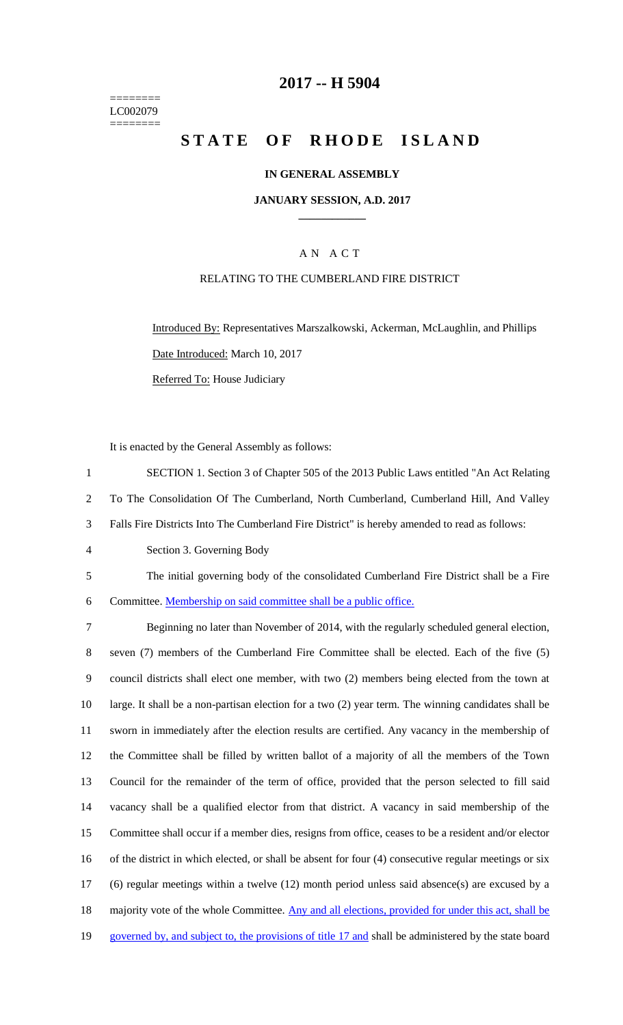======== LC002079 ========

## **2017 -- H 5904**

# **STATE OF RHODE ISLAND**

### **IN GENERAL ASSEMBLY**

#### **JANUARY SESSION, A.D. 2017 \_\_\_\_\_\_\_\_\_\_\_\_**

## A N A C T

#### RELATING TO THE CUMBERLAND FIRE DISTRICT

Introduced By: Representatives Marszalkowski, Ackerman, McLaughlin, and Phillips Date Introduced: March 10, 2017 Referred To: House Judiciary

It is enacted by the General Assembly as follows:

1 SECTION 1. Section 3 of Chapter 505 of the 2013 Public Laws entitled "An Act Relating 2 To The Consolidation Of The Cumberland, North Cumberland, Cumberland Hill, And Valley 3 Falls Fire Districts Into The Cumberland Fire District" is hereby amended to read as follows:

- 4 Section 3. Governing Body
- 5 The initial governing body of the consolidated Cumberland Fire District shall be a Fire 6 Committee. Membership on said committee shall be a public office.

 Beginning no later than November of 2014, with the regularly scheduled general election, seven (7) members of the Cumberland Fire Committee shall be elected. Each of the five (5) council districts shall elect one member, with two (2) members being elected from the town at large. It shall be a non-partisan election for a two (2) year term. The winning candidates shall be sworn in immediately after the election results are certified. Any vacancy in the membership of the Committee shall be filled by written ballot of a majority of all the members of the Town Council for the remainder of the term of office, provided that the person selected to fill said vacancy shall be a qualified elector from that district. A vacancy in said membership of the Committee shall occur if a member dies, resigns from office, ceases to be a resident and/or elector of the district in which elected, or shall be absent for four (4) consecutive regular meetings or six (6) regular meetings within a twelve (12) month period unless said absence(s) are excused by a 18 majority vote of the whole Committee. Any and all elections, provided for under this act, shall be 19 governed by, and subject to, the provisions of title 17 and shall be administered by the state board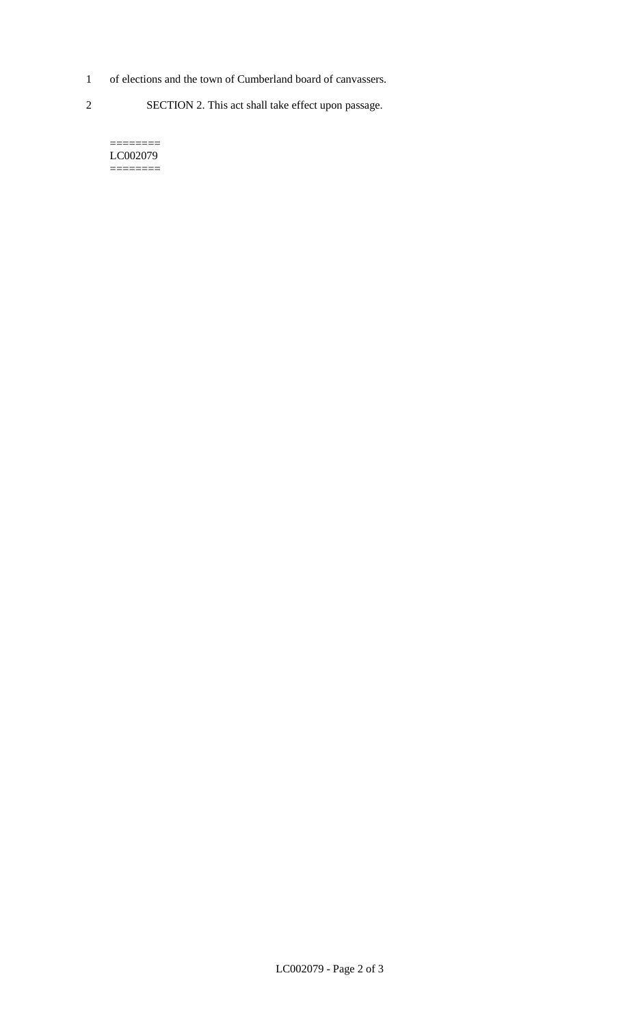- 1 of elections and the town of Cumberland board of canvassers.
- 2 SECTION 2. This act shall take effect upon passage.

======== LC002079 ========